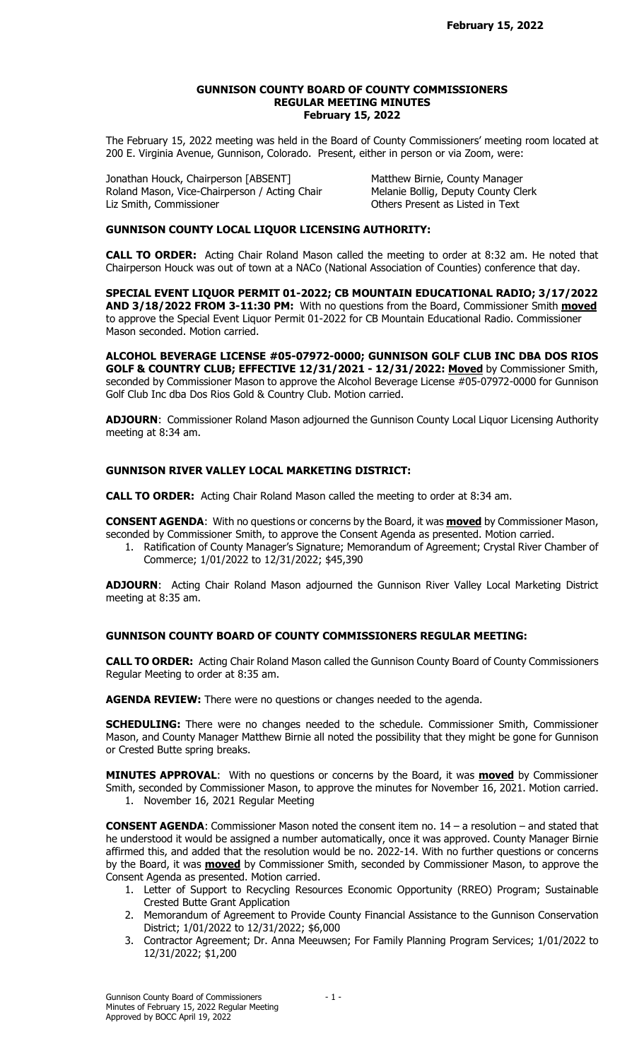#### GUNNISON COUNTY BOARD OF COUNTY COMMISSIONERS REGULAR MEETING MINUTES February 15, 2022

The February 15, 2022 meeting was held in the Board of County Commissioners' meeting room located at 200 E. Virginia Avenue, Gunnison, Colorado. Present, either in person or via Zoom, were:

Jonathan Houck, Chairperson [ABSENT] Matthew Birnie, County Manager Roland Mason, Vice-Chairperson / Acting Chair Melanie Bollig, Deputy County Clerk Liz Smith, Commissioner **Commissioner** Christener Active Present as Listed in Text

## GUNNISON COUNTY LOCAL LIQUOR LICENSING AUTHORITY:

CALL TO ORDER: Acting Chair Roland Mason called the meeting to order at 8:32 am. He noted that Chairperson Houck was out of town at a NACo (National Association of Counties) conference that day.

SPECIAL EVENT LIQUOR PERMIT 01-2022; CB MOUNTAIN EDUCATIONAL RADIO; 3/17/2022 AND 3/18/2022 FROM 3-11:30 PM: With no questions from the Board, Commissioner Smith moved to approve the Special Event Liquor Permit 01-2022 for CB Mountain Educational Radio. Commissioner Mason seconded. Motion carried.

ALCOHOL BEVERAGE LICENSE #05-07972-0000; GUNNISON GOLF CLUB INC DBA DOS RIOS GOLF & COUNTRY CLUB; EFFECTIVE 12/31/2021 - 12/31/2022: Moved by Commissioner Smith, seconded by Commissioner Mason to approve the Alcohol Beverage License #05-07972-0000 for Gunnison Golf Club Inc dba Dos Rios Gold & Country Club. Motion carried.

ADJOURN: Commissioner Roland Mason adjourned the Gunnison County Local Liquor Licensing Authority meeting at 8:34 am.

# GUNNISON RIVER VALLEY LOCAL MARKETING DISTRICT:

CALL TO ORDER: Acting Chair Roland Mason called the meeting to order at 8:34 am.

**CONSENT AGENDA:** With no questions or concerns by the Board, it was **moved** by Commissioner Mason, seconded by Commissioner Smith, to approve the Consent Agenda as presented. Motion carried.

1. Ratification of County Manager's Signature; Memorandum of Agreement; Crystal River Chamber of Commerce; 1/01/2022 to 12/31/2022; \$45,390

ADJOURN: Acting Chair Roland Mason adjourned the Gunnison River Valley Local Marketing District meeting at 8:35 am.

# GUNNISON COUNTY BOARD OF COUNTY COMMISSIONERS REGULAR MEETING:

CALL TO ORDER: Acting Chair Roland Mason called the Gunnison County Board of County Commissioners Regular Meeting to order at 8:35 am.

AGENDA REVIEW: There were no questions or changes needed to the agenda.

SCHEDULING: There were no changes needed to the schedule. Commissioner Smith, Commissioner Mason, and County Manager Matthew Birnie all noted the possibility that they might be gone for Gunnison or Crested Butte spring breaks.

MINUTES APPROVAL: With no questions or concerns by the Board, it was **moved** by Commissioner Smith, seconded by Commissioner Mason, to approve the minutes for November 16, 2021. Motion carried.

1. November 16, 2021 Regular Meeting

CONSENT AGENDA: Commissioner Mason noted the consent item no. 14 – a resolution – and stated that he understood it would be assigned a number automatically, once it was approved. County Manager Birnie affirmed this, and added that the resolution would be no. 2022-14. With no further questions or concerns by the Board, it was **moved** by Commissioner Smith, seconded by Commissioner Mason, to approve the Consent Agenda as presented. Motion carried.

- 1. Letter of Support to Recycling Resources Economic Opportunity (RREO) Program; Sustainable Crested Butte Grant Application
- 2. Memorandum of Agreement to Provide County Financial Assistance to the Gunnison Conservation District; 1/01/2022 to 12/31/2022; \$6,000
- 3. Contractor Agreement; Dr. Anna Meeuwsen; For Family Planning Program Services; 1/01/2022 to 12/31/2022; \$1,200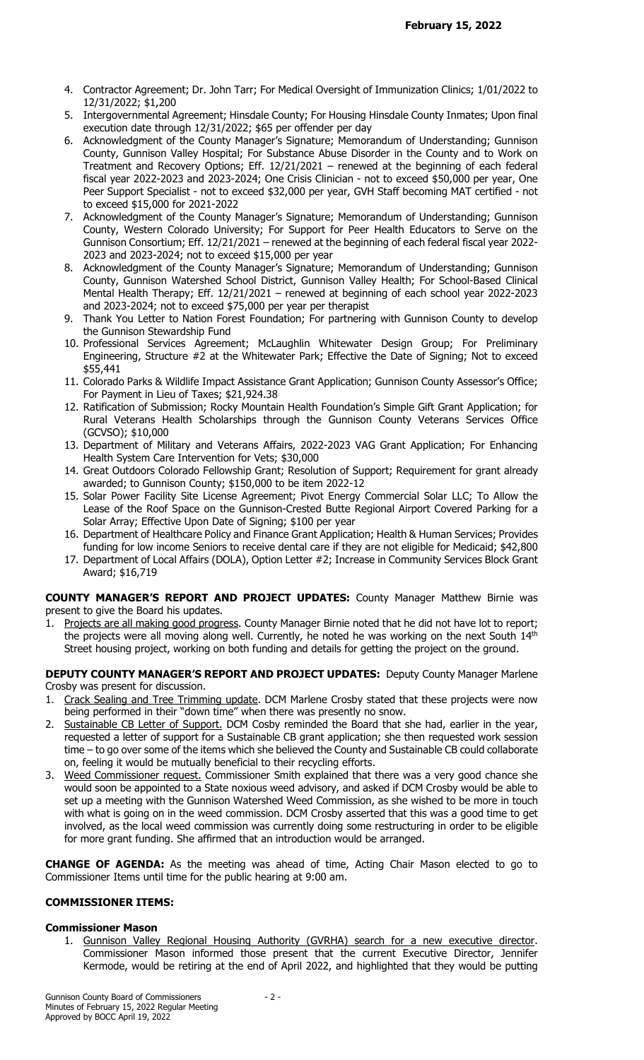- 4. Contractor Agreement; Dr. John Tarr; For Medical Oversight of Immunization Clinics; 1/01/2022 to 12/31/2022; \$1,200
- 5. Intergovernmental Agreement; Hinsdale County; For Housing Hinsdale County Inmates; Upon final execution date through 12/31/2022; \$65 per offender per day
- 6. Acknowledgment of the County Manager's Signature; Memorandum of Understanding; Gunnison County, Gunnison Valley Hospital; For Substance Abuse Disorder in the County and to Work on Treatment and Recovery Options; Eff. 12/21/2021 – renewed at the beginning of each federal fiscal year 2022-2023 and 2023-2024; One Crisis Clinician - not to exceed \$50,000 per year, One Peer Support Specialist - not to exceed \$32,000 per year, GVH Staff becoming MAT certified - not to exceed \$15,000 for 2021-2022
- 7. Acknowledgment of the County Manager's Signature; Memorandum of Understanding; Gunnison County, Western Colorado University; For Support for Peer Health Educators to Serve on the Gunnison Consortium; Eff. 12/21/2021 – renewed at the beginning of each federal fiscal year 2022- 2023 and 2023-2024; not to exceed \$15,000 per year
- 8. Acknowledgment of the County Manager's Signature; Memorandum of Understanding; Gunnison County, Gunnison Watershed School District, Gunnison Valley Health; For School-Based Clinical Mental Health Therapy; Eff. 12/21/2021 – renewed at beginning of each school year 2022-2023 and 2023-2024; not to exceed \$75,000 per year per therapist
- 9. Thank You Letter to Nation Forest Foundation; For partnering with Gunnison County to develop the Gunnison Stewardship Fund
- 10. Professional Services Agreement; McLaughlin Whitewater Design Group; For Preliminary Engineering, Structure #2 at the Whitewater Park; Effective the Date of Signing; Not to exceed \$55,441
- 11. Colorado Parks & Wildlife Impact Assistance Grant Application; Gunnison County Assessor's Office; For Payment in Lieu of Taxes; \$21,924.38
- 12. Ratification of Submission; Rocky Mountain Health Foundation's Simple Gift Grant Application; for Rural Veterans Health Scholarships through the Gunnison County Veterans Services Office (GCVSO); \$10,000
- 13. Department of Military and Veterans Affairs, 2022-2023 VAG Grant Application; For Enhancing Health System Care Intervention for Vets; \$30,000
- 14. Great Outdoors Colorado Fellowship Grant; Resolution of Support; Requirement for grant already awarded; to Gunnison County; \$150,000 to be item 2022-12
- 15. Solar Power Facility Site License Agreement; Pivot Energy Commercial Solar LLC; To Allow the Lease of the Roof Space on the Gunnison-Crested Butte Regional Airport Covered Parking for a Solar Array; Effective Upon Date of Signing; \$100 per year
- 16. Department of Healthcare Policy and Finance Grant Application; Health & Human Services; Provides funding for low income Seniors to receive dental care if they are not eligible for Medicaid; \$42,800
- 17. Department of Local Affairs (DOLA), Option Letter #2; Increase in Community Services Block Grant Award; \$16,719

## COUNTY MANAGER'S REPORT AND PROJECT UPDATES: County Manager Matthew Birnie was present to give the Board his updates.

1. Projects are all making good progress. County Manager Birnie noted that he did not have lot to report; the projects were all moving along well. Currently, he noted he was working on the next South 14<sup>th</sup> Street housing project, working on both funding and details for getting the project on the ground.

# DEPUTY COUNTY MANAGER'S REPORT AND PROJECT UPDATES: Deputy County Manager Marlene Crosby was present for discussion.

- 1. Crack Sealing and Tree Trimming update. DCM Marlene Crosby stated that these projects were now being performed in their "down time" when there was presently no snow.
- 2. Sustainable CB Letter of Support. DCM Cosby reminded the Board that she had, earlier in the year, requested a letter of support for a Sustainable CB grant application; she then requested work session time – to go over some of the items which she believed the County and Sustainable CB could collaborate on, feeling it would be mutually beneficial to their recycling efforts.
- 3. Weed Commissioner request. Commissioner Smith explained that there was a very good chance she would soon be appointed to a State noxious weed advisory, and asked if DCM Crosby would be able to set up a meeting with the Gunnison Watershed Weed Commission, as she wished to be more in touch with what is going on in the weed commission. DCM Crosby asserted that this was a good time to get involved, as the local weed commission was currently doing some restructuring in order to be eligible for more grant funding. She affirmed that an introduction would be arranged.

CHANGE OF AGENDA: As the meeting was ahead of time, Acting Chair Mason elected to go to Commissioner Items until time for the public hearing at 9:00 am.

# COMMISSIONER ITEMS:

# Commissioner Mason

1. Gunnison Valley Regional Housing Authority (GVRHA) search for a new executive director. Commissioner Mason informed those present that the current Executive Director, Jennifer Kermode, would be retiring at the end of April 2022, and highlighted that they would be putting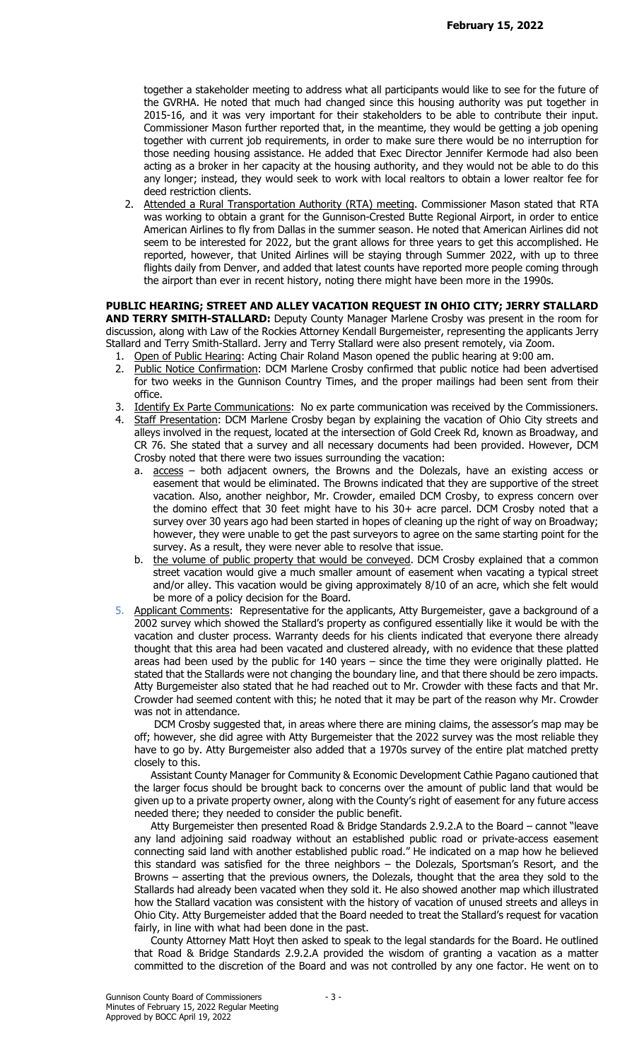together a stakeholder meeting to address what all participants would like to see for the future of the GVRHA. He noted that much had changed since this housing authority was put together in 2015-16, and it was very important for their stakeholders to be able to contribute their input. Commissioner Mason further reported that, in the meantime, they would be getting a job opening together with current job requirements, in order to make sure there would be no interruption for those needing housing assistance. He added that Exec Director Jennifer Kermode had also been acting as a broker in her capacity at the housing authority, and they would not be able to do this any longer; instead, they would seek to work with local realtors to obtain a lower realtor fee for deed restriction clients.

2. Attended a Rural Transportation Authority (RTA) meeting. Commissioner Mason stated that RTA was working to obtain a grant for the Gunnison-Crested Butte Regional Airport, in order to entice American Airlines to fly from Dallas in the summer season. He noted that American Airlines did not seem to be interested for 2022, but the grant allows for three years to get this accomplished. He reported, however, that United Airlines will be staying through Summer 2022, with up to three flights daily from Denver, and added that latest counts have reported more people coming through the airport than ever in recent history, noting there might have been more in the 1990s.

PUBLIC HEARING; STREET AND ALLEY VACATION REQUEST IN OHIO CITY; JERRY STALLARD AND TERRY SMITH-STALLARD: Deputy County Manager Marlene Crosby was present in the room for discussion, along with Law of the Rockies Attorney Kendall Burgemeister, representing the applicants Jerry Stallard and Terry Smith-Stallard. Jerry and Terry Stallard were also present remotely, via Zoom.

- 1. Open of Public Hearing: Acting Chair Roland Mason opened the public hearing at 9:00 am.
- 2. Public Notice Confirmation: DCM Marlene Crosby confirmed that public notice had been advertised for two weeks in the Gunnison Country Times, and the proper mailings had been sent from their office.
- 3. Identify Ex Parte Communications: No ex parte communication was received by the Commissioners.
- 4. Staff Presentation: DCM Marlene Crosby began by explaining the vacation of Ohio City streets and alleys involved in the request, located at the intersection of Gold Creek Rd, known as Broadway, and CR 76. She stated that a survey and all necessary documents had been provided. However, DCM Crosby noted that there were two issues surrounding the vacation:
	- a.  $\frac{\text{access}}{\text{access}}$  both adjacent owners, the Browns and the Dolezals, have an existing access or easement that would be eliminated. The Browns indicated that they are supportive of the street vacation. Also, another neighbor, Mr. Crowder, emailed DCM Crosby, to express concern over the domino effect that 30 feet might have to his 30+ acre parcel. DCM Crosby noted that a survey over 30 years ago had been started in hopes of cleaning up the right of way on Broadway; however, they were unable to get the past surveyors to agree on the same starting point for the survey. As a result, they were never able to resolve that issue.
	- b. the volume of public property that would be conveyed. DCM Crosby explained that a common street vacation would give a much smaller amount of easement when vacating a typical street and/or alley. This vacation would be giving approximately 8/10 of an acre, which she felt would be more of a policy decision for the Board.
- 5. Applicant Comments: Representative for the applicants, Atty Burgemeister, gave a background of a 2002 survey which showed the Stallard's property as configured essentially like it would be with the vacation and cluster process. Warranty deeds for his clients indicated that everyone there already thought that this area had been vacated and clustered already, with no evidence that these platted areas had been used by the public for 140 years – since the time they were originally platted. He stated that the Stallards were not changing the boundary line, and that there should be zero impacts. Atty Burgemeister also stated that he had reached out to Mr. Crowder with these facts and that Mr. Crowder had seemed content with this; he noted that it may be part of the reason why Mr. Crowder was not in attendance.

 DCM Crosby suggested that, in areas where there are mining claims, the assessor's map may be off; however, she did agree with Atty Burgemeister that the 2022 survey was the most reliable they have to go by. Atty Burgemeister also added that a 1970s survey of the entire plat matched pretty closely to this.

 Assistant County Manager for Community & Economic Development Cathie Pagano cautioned that the larger focus should be brought back to concerns over the amount of public land that would be given up to a private property owner, along with the County's right of easement for any future access needed there; they needed to consider the public benefit.

 Atty Burgemeister then presented Road & Bridge Standards 2.9.2.A to the Board – cannot "leave any land adjoining said roadway without an established public road or private-access easement connecting said land with another established public road." He indicated on a map how he believed this standard was satisfied for the three neighbors – the Dolezals, Sportsman's Resort, and the Browns – asserting that the previous owners, the Dolezals, thought that the area they sold to the Stallards had already been vacated when they sold it. He also showed another map which illustrated how the Stallard vacation was consistent with the history of vacation of unused streets and alleys in Ohio City. Atty Burgemeister added that the Board needed to treat the Stallard's request for vacation fairly, in line with what had been done in the past.

 County Attorney Matt Hoyt then asked to speak to the legal standards for the Board. He outlined that Road & Bridge Standards 2.9.2.A provided the wisdom of granting a vacation as a matter committed to the discretion of the Board and was not controlled by any one factor. He went on to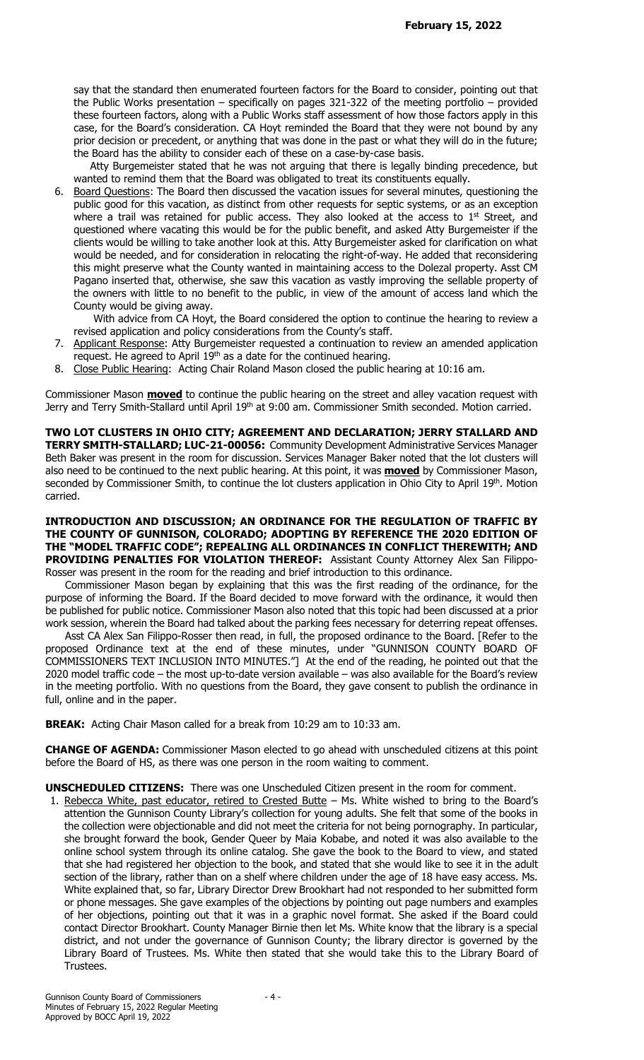say that the standard then enumerated fourteen factors for the Board to consider, pointing out that the Public Works presentation – specifically on pages 321-322 of the meeting portfolio – provided these fourteen factors, along with a Public Works staff assessment of how those factors apply in this case, for the Board's consideration. CA Hoyt reminded the Board that they were not bound by any prior decision or precedent, or anything that was done in the past or what they will do in the future; the Board has the ability to consider each of these on a case-by-case basis.

 Atty Burgemeister stated that he was not arguing that there is legally binding precedence, but wanted to remind them that the Board was obligated to treat its constituents equally.

6. Board Questions: The Board then discussed the vacation issues for several minutes, questioning the public good for this vacation, as distinct from other requests for septic systems, or as an exception where a trail was retained for public access. They also looked at the access to 1<sup>st</sup> Street, and questioned where vacating this would be for the public benefit, and asked Atty Burgemeister if the clients would be willing to take another look at this. Atty Burgemeister asked for clarification on what would be needed, and for consideration in relocating the right-of-way. He added that reconsidering this might preserve what the County wanted in maintaining access to the Dolezal property. Asst CM Pagano inserted that, otherwise, she saw this vacation as vastly improving the sellable property of the owners with little to no benefit to the public, in view of the amount of access land which the County would be giving away.

 With advice from CA Hoyt, the Board considered the option to continue the hearing to review a revised application and policy considerations from the County's staff.

- 7. Applicant Response: Atty Burgemeister requested a continuation to review an amended application request. He agreed to April 19<sup>th</sup> as a date for the continued hearing.
- 8. Close Public Hearing: Acting Chair Roland Mason closed the public hearing at 10:16 am.

Commissioner Mason **moved** to continue the public hearing on the street and alley vacation request with Jerry and Terry Smith-Stallard until April 19<sup>th</sup> at 9:00 am. Commissioner Smith seconded. Motion carried.

TWO LOT CLUSTERS IN OHIO CITY; AGREEMENT AND DECLARATION; JERRY STALLARD AND TERRY SMITH-STALLARD; LUC-21-00056: Community Development Administrative Services Manager Beth Baker was present in the room for discussion. Services Manager Baker noted that the lot clusters will also need to be continued to the next public hearing. At this point, it was **moved** by Commissioner Mason, seconded by Commissioner Smith, to continue the lot clusters application in Ohio City to April 19th. Motion carried.

#### INTRODUCTION AND DISCUSSION; AN ORDINANCE FOR THE REGULATION OF TRAFFIC BY THE COUNTY OF GUNNISON, COLORADO; ADOPTING BY REFERENCE THE 2020 EDITION OF THE "MODEL TRAFFIC CODE"; REPEALING ALL ORDINANCES IN CONFLICT THEREWITH; AND PROVIDING PENALTIES FOR VIOLATION THEREOF: Assistant County Attorney Alex San Filippo-Rosser was present in the room for the reading and brief introduction to this ordinance.

 Commissioner Mason began by explaining that this was the first reading of the ordinance, for the purpose of informing the Board. If the Board decided to move forward with the ordinance, it would then be published for public notice. Commissioner Mason also noted that this topic had been discussed at a prior work session, wherein the Board had talked about the parking fees necessary for deterring repeat offenses.

 Asst CA Alex San Filippo-Rosser then read, in full, the proposed ordinance to the Board. [Refer to the proposed Ordinance text at the end of these minutes, under "GUNNISON COUNTY BOARD OF COMMISSIONERS TEXT INCLUSION INTO MINUTES."] At the end of the reading, he pointed out that the 2020 model traffic code – the most up-to-date version available – was also available for the Board's review in the meeting portfolio. With no questions from the Board, they gave consent to publish the ordinance in full, online and in the paper.

BREAK: Acting Chair Mason called for a break from 10:29 am to 10:33 am.

CHANGE OF AGENDA: Commissioner Mason elected to go ahead with unscheduled citizens at this point before the Board of HS, as there was one person in the room waiting to comment.

UNSCHEDULED CITIZENS: There was one Unscheduled Citizen present in the room for comment.

1. Rebecca White, past educator, retired to Crested Butte – Ms. White wished to bring to the Board's attention the Gunnison County Library's collection for young adults. She felt that some of the books in the collection were objectionable and did not meet the criteria for not being pornography. In particular, she brought forward the book, Gender Queer by Maia Kobabe, and noted it was also available to the online school system through its online catalog. She gave the book to the Board to view, and stated that she had registered her objection to the book, and stated that she would like to see it in the adult section of the library, rather than on a shelf where children under the age of 18 have easy access. Ms. White explained that, so far, Library Director Drew Brookhart had not responded to her submitted form or phone messages. She gave examples of the objections by pointing out page numbers and examples of her objections, pointing out that it was in a graphic novel format. She asked if the Board could contact Director Brookhart. County Manager Birnie then let Ms. White know that the library is a special district, and not under the governance of Gunnison County; the library director is governed by the Library Board of Trustees. Ms. White then stated that she would take this to the Library Board of Trustees.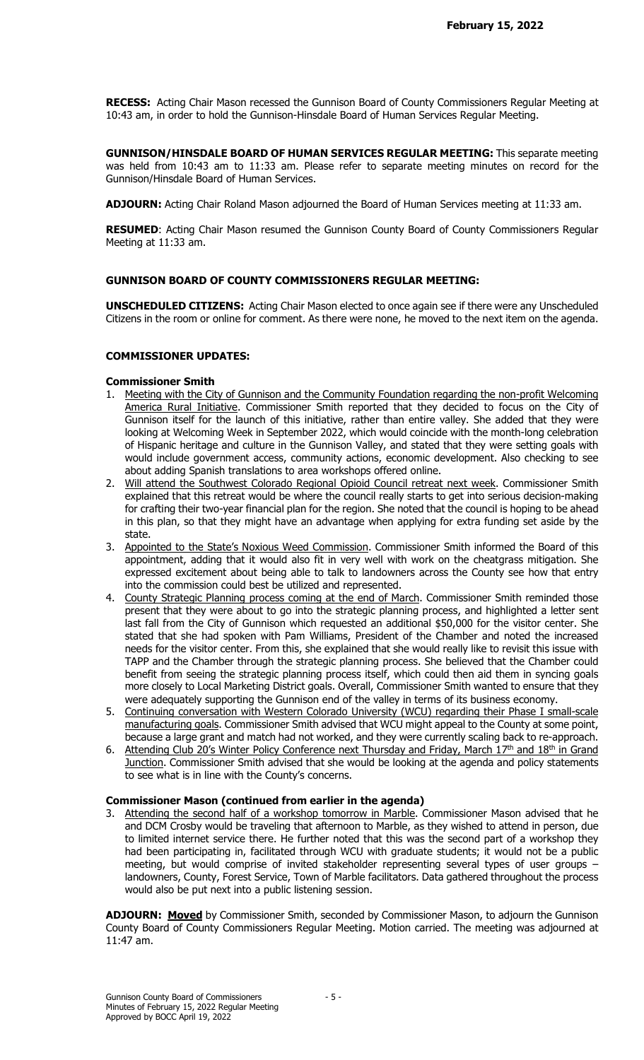RECESS: Acting Chair Mason recessed the Gunnison Board of County Commissioners Regular Meeting at 10:43 am, in order to hold the Gunnison-Hinsdale Board of Human Services Regular Meeting.

GUNNISON/HINSDALE BOARD OF HUMAN SERVICES REGULAR MEETING: This separate meeting was held from 10:43 am to 11:33 am. Please refer to separate meeting minutes on record for the Gunnison/Hinsdale Board of Human Services.

ADJOURN: Acting Chair Roland Mason adjourned the Board of Human Services meeting at 11:33 am.

RESUMED: Acting Chair Mason resumed the Gunnison County Board of County Commissioners Regular Meeting at 11:33 am.

# GUNNISON BOARD OF COUNTY COMMISSIONERS REGULAR MEETING:

UNSCHEDULED CITIZENS: Acting Chair Mason elected to once again see if there were any Unscheduled Citizens in the room or online for comment. As there were none, he moved to the next item on the agenda.

### COMMISSIONER UPDATES:

### Commissioner Smith

- Meeting with the City of Gunnison and the Community Foundation regarding the non-profit Welcoming America Rural Initiative. Commissioner Smith reported that they decided to focus on the City of Gunnison itself for the launch of this initiative, rather than entire valley. She added that they were looking at Welcoming Week in September 2022, which would coincide with the month-long celebration of Hispanic heritage and culture in the Gunnison Valley, and stated that they were setting goals with would include government access, community actions, economic development. Also checking to see about adding Spanish translations to area workshops offered online.
- 2. Will attend the Southwest Colorado Regional Opioid Council retreat next week. Commissioner Smith explained that this retreat would be where the council really starts to get into serious decision-making for crafting their two-year financial plan for the region. She noted that the council is hoping to be ahead in this plan, so that they might have an advantage when applying for extra funding set aside by the state.
- 3. Appointed to the State's Noxious Weed Commission. Commissioner Smith informed the Board of this appointment, adding that it would also fit in very well with work on the cheatgrass mitigation. She expressed excitement about being able to talk to landowners across the County see how that entry into the commission could best be utilized and represented.
- 4. County Strategic Planning process coming at the end of March. Commissioner Smith reminded those present that they were about to go into the strategic planning process, and highlighted a letter sent last fall from the City of Gunnison which requested an additional \$50,000 for the visitor center. She stated that she had spoken with Pam Williams, President of the Chamber and noted the increased needs for the visitor center. From this, she explained that she would really like to revisit this issue with TAPP and the Chamber through the strategic planning process. She believed that the Chamber could benefit from seeing the strategic planning process itself, which could then aid them in syncing goals more closely to Local Marketing District goals. Overall, Commissioner Smith wanted to ensure that they were adequately supporting the Gunnison end of the valley in terms of its business economy.
- 5. Continuing conversation with Western Colorado University (WCU) regarding their Phase I small-scale manufacturing goals. Commissioner Smith advised that WCU might appeal to the County at some point, because a large grant and match had not worked, and they were currently scaling back to re-approach.
- 6. Attending Club 20's Winter Policy Conference next Thursday and Friday, March 17<sup>th</sup> and 18<sup>th</sup> in Grand Junction. Commissioner Smith advised that she would be looking at the agenda and policy statements to see what is in line with the County's concerns.

# Commissioner Mason (continued from earlier in the agenda)

3. Attending the second half of a workshop tomorrow in Marble. Commissioner Mason advised that he and DCM Crosby would be traveling that afternoon to Marble, as they wished to attend in person, due to limited internet service there. He further noted that this was the second part of a workshop they had been participating in, facilitated through WCU with graduate students; it would not be a public meeting, but would comprise of invited stakeholder representing several types of user groups – landowners, County, Forest Service, Town of Marble facilitators. Data gathered throughout the process would also be put next into a public listening session.

ADJOURN: Moved by Commissioner Smith, seconded by Commissioner Mason, to adjourn the Gunnison County Board of County Commissioners Regular Meeting. Motion carried. The meeting was adjourned at 11:47 am.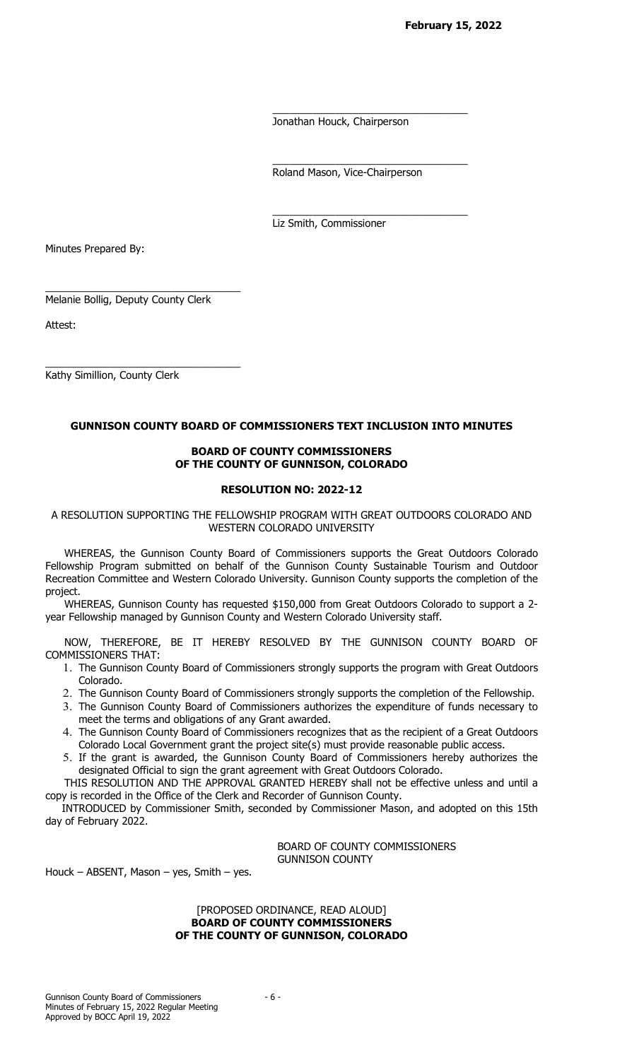Jonathan Houck, Chairperson

\_\_\_\_\_\_\_\_\_\_\_\_\_\_\_\_\_\_\_\_\_\_\_\_\_\_\_\_\_\_\_\_\_\_

\_\_\_\_\_\_\_\_\_\_\_\_\_\_\_\_\_\_\_\_\_\_\_\_\_\_\_\_\_\_\_\_\_\_

 $\overline{\phantom{a}}$  , and the contract of the contract of the contract of the contract of the contract of the contract of the contract of the contract of the contract of the contract of the contract of the contract of the contrac

Roland Mason, Vice-Chairperson

Liz Smith, Commissioner

Minutes Prepared By:

Melanie Bollig, Deputy County Clerk

 $\overline{\phantom{a}}$  , and the contract of the contract of the contract of the contract of the contract of the contract of the contract of the contract of the contract of the contract of the contract of the contract of the contrac

 $\overline{\phantom{a}}$  , and the contract of the contract of the contract of the contract of the contract of the contract of the contract of the contract of the contract of the contract of the contract of the contract of the contrac

Attest:

Kathy Simillion, County Clerk

# GUNNISON COUNTY BOARD OF COMMISSIONERS TEXT INCLUSION INTO MINUTES

## BOARD OF COUNTY COMMISSIONERS OF THE COUNTY OF GUNNISON, COLORADO

# RESOLUTION NO: 2022-12

A RESOLUTION SUPPORTING THE FELLOWSHIP PROGRAM WITH GREAT OUTDOORS COLORADO AND WESTERN COLORADO UNIVERSITY

WHEREAS, the Gunnison County Board of Commissioners supports the Great Outdoors Colorado Fellowship Program submitted on behalf of the Gunnison County Sustainable Tourism and Outdoor Recreation Committee and Western Colorado University. Gunnison County supports the completion of the project.

WHEREAS, Gunnison County has requested \$150,000 from Great Outdoors Colorado to support a 2 year Fellowship managed by Gunnison County and Western Colorado University staff.

NOW, THEREFORE, BE IT HEREBY RESOLVED BY THE GUNNISON COUNTY BOARD OF COMMISSIONERS THAT:

- 1. The Gunnison County Board of Commissioners strongly supports the program with Great Outdoors Colorado.
- 2. The Gunnison County Board of Commissioners strongly supports the completion of the Fellowship.
- 3. The Gunnison County Board of Commissioners authorizes the expenditure of funds necessary to meet the terms and obligations of any Grant awarded.
- 4. The Gunnison County Board of Commissioners recognizes that as the recipient of a Great Outdoors Colorado Local Government grant the project site(s) must provide reasonable public access.
- 5. If the grant is awarded, the Gunnison County Board of Commissioners hereby authorizes the designated Official to sign the grant agreement with Great Outdoors Colorado.

THIS RESOLUTION AND THE APPROVAL GRANTED HEREBY shall not be effective unless and until a copy is recorded in the Office of the Clerk and Recorder of Gunnison County.

 INTRODUCED by Commissioner Smith, seconded by Commissioner Mason, and adopted on this 15th day of February 2022.

> BOARD OF COUNTY COMMISSIONERS GUNNISON COUNTY

Houck – ABSENT, Mason – yes, Smith – yes.

### [PROPOSED ORDINANCE, READ ALOUD] BOARD OF COUNTY COMMISSIONERS OF THE COUNTY OF GUNNISON, COLORADO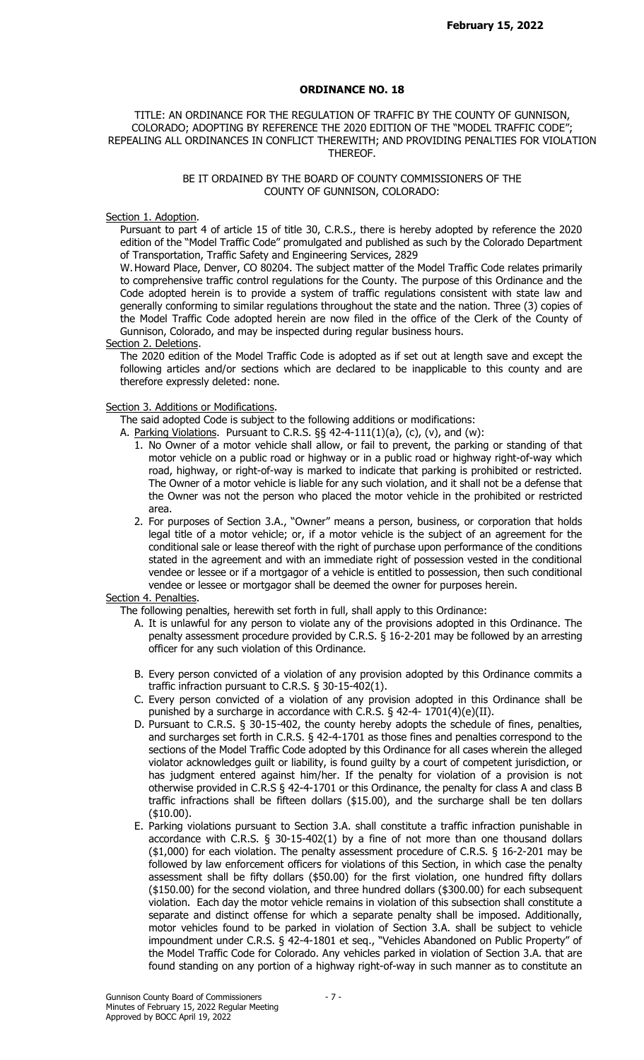## ORDINANCE NO. 18

TITLE: AN ORDINANCE FOR THE REGULATION OF TRAFFIC BY THE COUNTY OF GUNNISON, COLORADO; ADOPTING BY REFERENCE THE 2020 EDITION OF THE "MODEL TRAFFIC CODE"; REPEALING ALL ORDINANCES IN CONFLICT THEREWITH; AND PROVIDING PENALTIES FOR VIOLATION THEREOF.

## BE IT ORDAINED BY THE BOARD OF COUNTY COMMISSIONERS OF THE COUNTY OF GUNNISON, COLORADO:

#### Section 1. Adoption.

Pursuant to part 4 of article 15 of title 30, C.R.S., there is hereby adopted by reference the 2020 edition of the "Model Traffic Code" promulgated and published as such by the Colorado Department of Transportation, Traffic Safety and Engineering Services, 2829

W. Howard Place, Denver, CO 80204. The subject matter of the Model Traffic Code relates primarily to comprehensive traffic control regulations for the County. The purpose of this Ordinance and the Code adopted herein is to provide a system of traffic regulations consistent with state law and generally conforming to similar regulations throughout the state and the nation. Three (3) copies of the Model Traffic Code adopted herein are now filed in the office of the Clerk of the County of Gunnison, Colorado, and may be inspected during regular business hours.

#### Section 2. Deletions.

The 2020 edition of the Model Traffic Code is adopted as if set out at length save and except the following articles and/or sections which are declared to be inapplicable to this county and are therefore expressly deleted: none.

## Section 3. Additions or Modifications.

The said adopted Code is subject to the following additions or modifications:

- A. Parking Violations. Pursuant to C.R.S. §§ 42-4-111(1)(a), (c), (v), and (w):
	- 1. No Owner of a motor vehicle shall allow, or fail to prevent, the parking or standing of that motor vehicle on a public road or highway or in a public road or highway right-of-way which road, highway, or right-of-way is marked to indicate that parking is prohibited or restricted. The Owner of a motor vehicle is liable for any such violation, and it shall not be a defense that the Owner was not the person who placed the motor vehicle in the prohibited or restricted area.
	- 2. For purposes of Section 3.A., "Owner" means a person, business, or corporation that holds legal title of a motor vehicle; or, if a motor vehicle is the subject of an agreement for the conditional sale or lease thereof with the right of purchase upon performance of the conditions stated in the agreement and with an immediate right of possession vested in the conditional vendee or lessee or if a mortgagor of a vehicle is entitled to possession, then such conditional vendee or lessee or mortgagor shall be deemed the owner for purposes herein.

#### Section 4. Penalties.

The following penalties, herewith set forth in full, shall apply to this Ordinance:

- A. It is unlawful for any person to violate any of the provisions adopted in this Ordinance. The penalty assessment procedure provided by C.R.S. § 16-2-201 may be followed by an arresting officer for any such violation of this Ordinance.
- B. Every person convicted of a violation of any provision adopted by this Ordinance commits a traffic infraction pursuant to C.R.S. § 30-15-402(1).
- C. Every person convicted of a violation of any provision adopted in this Ordinance shall be punished by a surcharge in accordance with C.R.S. § 42-4-  $1701(4)(e)(II)$ .
- D. Pursuant to C.R.S. § 30-15-402, the county hereby adopts the schedule of fines, penalties, and surcharges set forth in C.R.S. § 42-4-1701 as those fines and penalties correspond to the sections of the Model Traffic Code adopted by this Ordinance for all cases wherein the alleged violator acknowledges guilt or liability, is found guilty by a court of competent jurisdiction, or has judgment entered against him/her. If the penalty for violation of a provision is not otherwise provided in C.R.S § 42-4-1701 or this Ordinance, the penalty for class A and class B traffic infractions shall be fifteen dollars (\$15.00), and the surcharge shall be ten dollars (\$10.00).
- E. Parking violations pursuant to Section 3.A. shall constitute a traffic infraction punishable in accordance with C.R.S. § 30-15-402(1) by a fine of not more than one thousand dollars (\$1,000) for each violation. The penalty assessment procedure of C.R.S. § 16-2-201 may be followed by law enforcement officers for violations of this Section, in which case the penalty assessment shall be fifty dollars (\$50.00) for the first violation, one hundred fifty dollars (\$150.00) for the second violation, and three hundred dollars (\$300.00) for each subsequent violation. Each day the motor vehicle remains in violation of this subsection shall constitute a separate and distinct offense for which a separate penalty shall be imposed. Additionally, motor vehicles found to be parked in violation of Section 3.A. shall be subject to vehicle impoundment under C.R.S. § 42-4-1801 et seq., "Vehicles Abandoned on Public Property" of the Model Traffic Code for Colorado. Any vehicles parked in violation of Section 3.A. that are found standing on any portion of a highway right-of-way in such manner as to constitute an